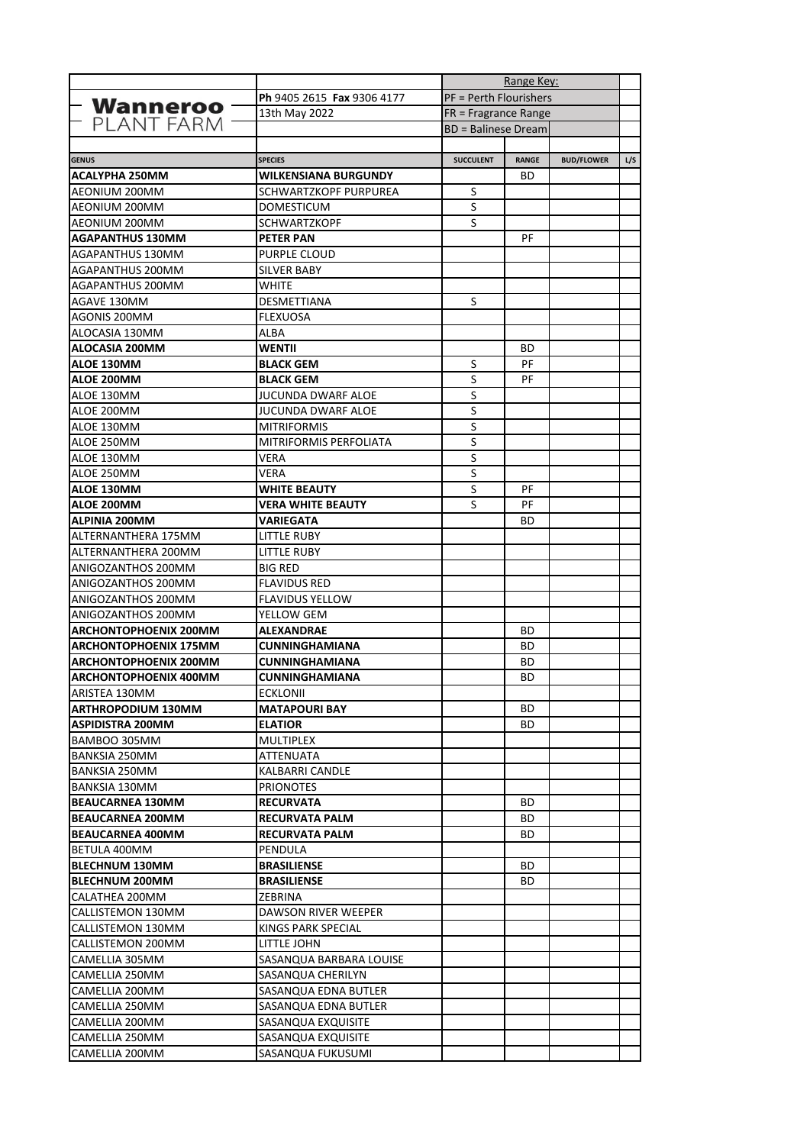|                                          |                               | Range Key:                    |              |                   |     |
|------------------------------------------|-------------------------------|-------------------------------|--------------|-------------------|-----|
|                                          | Ph 9405 2615 Fax 9306 4177    | <b>PF = Perth Flourishers</b> |              |                   |     |
| <b>Wanneroo</b>                          | 13th May 2022                 | $FR$ = Fragrance Range        |              |                   |     |
| PLANT FARM                               |                               | <b>BD</b> = Balinese Dream    |              |                   |     |
|                                          |                               |                               |              |                   |     |
| <b>GENUS</b>                             | <b>SPECIES</b>                | <b>SUCCULENT</b>              | <b>RANGE</b> | <b>BUD/FLOWER</b> | L/S |
| <b>ACALYPHA 250MM</b>                    | <b>WILKENSIANA BURGUNDY</b>   |                               | ВD           |                   |     |
| AEONIUM 200MM                            | SCHWARTZKOPF PURPUREA         | S                             |              |                   |     |
| AEONIUM 200MM                            | DOMESTICUM                    | S                             |              |                   |     |
| AEONIUM 200MM                            | <b>SCHWARTZKOPF</b>           | S                             |              |                   |     |
| <b>AGAPANTHUS 130MM</b>                  | <b>PETER PAN</b>              |                               | РF           |                   |     |
| AGAPANTHUS 130MM                         | PURPLE CLOUD                  |                               |              |                   |     |
| AGAPANTHUS 200MM                         | SILVER BABY                   |                               |              |                   |     |
| AGAPANTHUS 200MM                         | WHITE                         |                               |              |                   |     |
| AGAVE 130MM                              | DESMETTIANA                   | S                             |              |                   |     |
| AGONIS 200MM                             | <b>FLEXUOSA</b>               |                               |              |                   |     |
| ALOCASIA 130MM                           | ALBA                          |                               |              |                   |     |
| ALOCASIA 200MM                           | WENTII                        |                               | ВD           |                   |     |
| ALOE 130MM                               | <b>BLACK GEM</b>              | S                             | PF           |                   |     |
| ALOE 200MM                               | <b>BLACK GEM</b>              | S                             | PF           |                   |     |
| ALOE 130MM                               | <b>JUCUNDA DWARF ALOE</b>     | S                             |              |                   |     |
| ALOE 200MM                               | <b>JUCUNDA DWARF ALOE</b>     | S                             |              |                   |     |
| ALOE 130MM                               | <b>MITRIFORMIS</b>            | S                             |              |                   |     |
| ALOE 250MM                               | <b>MITRIFORMIS PERFOLIATA</b> | S                             |              |                   |     |
| ALOE 130MM                               | VERA                          | S                             |              |                   |     |
| ALOE 250MM                               | VERA                          | S                             |              |                   |     |
| <b>ALOE 130MM</b>                        | <b>WHITE BEAUTY</b>           | S                             | РF           |                   |     |
| <b>ALOE 200MM</b>                        | VERA WHITE BEAUTY             | S                             | PF           |                   |     |
| ALPINIA 200MM                            | VARIEGATA                     |                               | ВD           |                   |     |
| ALTERNANTHERA 175MM                      | LITTLE RUBY                   |                               |              |                   |     |
| ALTERNANTHERA 200MM                      | LITTLE RUBY                   |                               |              |                   |     |
| ANIGOZANTHOS 200MM                       | <b>BIG RED</b>                |                               |              |                   |     |
| ANIGOZANTHOS 200MM                       | <b>FLAVIDUS RED</b>           |                               |              |                   |     |
|                                          |                               |                               |              |                   |     |
| ANIGOZANTHOS 200MM<br>ANIGOZANTHOS 200MM | <b>FLAVIDUS YELLOW</b>        |                               |              |                   |     |
|                                          | YELLOW GEM                    |                               |              |                   |     |
| <b>ARCHONTOPHOENIX 200MM</b>             | <b>ALEXANDRAE</b>             |                               | ВD           |                   |     |
| <b>ARCHONTOPHOENIX 175MM</b>             | <b>CUNNINGHAMIANA</b>         |                               | ВD           |                   |     |
| <b>ARCHONTOPHOENIX 200MM</b>             | <b>CUNNINGHAMIANA</b>         |                               | ВD           |                   |     |
| <b>ARCHONTOPHOENIX 400MM</b>             | <b>CUNNINGHAMIANA</b>         |                               | BD           |                   |     |
| ARISTEA 130MM                            | <b>ECKLONII</b>               |                               |              |                   |     |
| <b>ARTHROPODIUM 130MM</b>                | <b>MATAPOURI BAY</b>          |                               | BD           |                   |     |
| ASPIDISTRA 200MM                         | <b>ELATIOR</b>                |                               | BD           |                   |     |
| BAMBOO 305MM                             | MULTIPLEX                     |                               |              |                   |     |
| BANKSIA 250MM                            | <b>ATTENUATA</b>              |                               |              |                   |     |
| BANKSIA 250MM                            | KALBARRI CANDLE               |                               |              |                   |     |
| <b>BANKSIA 130MM</b>                     | <b>PRIONOTES</b>              |                               |              |                   |     |
| <b>BEAUCARNEA 130MM</b>                  | <b>RECURVATA</b>              |                               | BD           |                   |     |
| <b>BEAUCARNEA 200MM</b>                  | <b>RECURVATA PALM</b>         |                               | BD.          |                   |     |
| <b>BEAUCARNEA 400MM</b>                  | <b>RECURVATA PALM</b>         |                               | BD           |                   |     |
| BETULA 400MM                             | PENDULA                       |                               |              |                   |     |
| <b>BLECHNUM 130MM</b>                    | <b>BRASILIENSE</b>            |                               | BD           |                   |     |
| <b>BLECHNUM 200MM</b>                    | <b>BRASILIENSE</b>            |                               | BD.          |                   |     |
| CALATHEA 200MM                           | ZEBRINA                       |                               |              |                   |     |
| CALLISTEMON 130MM                        | DAWSON RIVER WEEPER           |                               |              |                   |     |
| CALLISTEMON 130MM                        | KINGS PARK SPECIAL            |                               |              |                   |     |
| CALLISTEMON 200MM                        | LITTLE JOHN                   |                               |              |                   |     |
| CAMELLIA 305MM                           | SASANQUA BARBARA LOUISE       |                               |              |                   |     |
| CAMELLIA 250MM                           | SASANQUA CHERILYN             |                               |              |                   |     |
| CAMELLIA 200MM                           | SASANQUA EDNA BUTLER          |                               |              |                   |     |
| CAMELLIA 250MM                           | SASANQUA EDNA BUTLER          |                               |              |                   |     |
| CAMELLIA 200MM                           | SASANQUA EXQUISITE            |                               |              |                   |     |
| CAMELLIA 250MM                           | SASANQUA EXQUISITE            |                               |              |                   |     |
| CAMELLIA 200MM                           | SASANQUA FUKUSUMI             |                               |              |                   |     |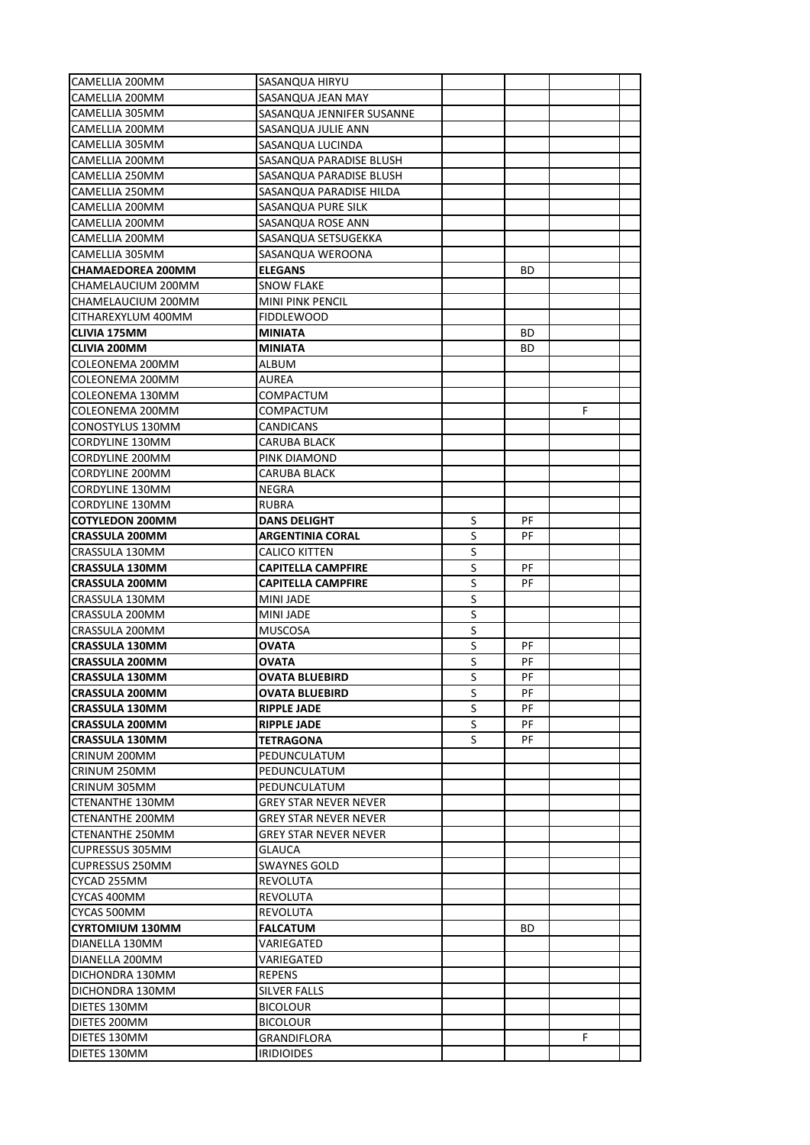| CAMELLIA 200MM                                 | SASANQUA HIRYU                                               |         |     |    |  |
|------------------------------------------------|--------------------------------------------------------------|---------|-----|----|--|
| CAMELLIA 200MM                                 | SASANQUA JEAN MAY                                            |         |     |    |  |
| CAMELLIA 305MM                                 | SASANQUA JENNIFER SUSANNE                                    |         |     |    |  |
| CAMELLIA 200MM                                 | SASANQUA JULIE ANN                                           |         |     |    |  |
| CAMELLIA 305MM                                 | SASANQUA LUCINDA                                             |         |     |    |  |
| CAMELLIA 200MM                                 | SASANQUA PARADISE BLUSH                                      |         |     |    |  |
| CAMELLIA 250MM                                 | SASANQUA PARADISE BLUSH                                      |         |     |    |  |
| CAMELLIA 250MM                                 | SASANQUA PARADISE HILDA                                      |         |     |    |  |
| CAMELLIA 200MM                                 | SASANQUA PURE SILK                                           |         |     |    |  |
| CAMELLIA 200MM                                 | SASANQUA ROSE ANN                                            |         |     |    |  |
| CAMELLIA 200MM                                 | SASANQUA SETSUGEKKA                                          |         |     |    |  |
| CAMELLIA 305MM                                 | SASANQUA WEROONA                                             |         |     |    |  |
| <b>CHAMAEDOREA 200MM</b>                       | <b>ELEGANS</b>                                               |         | BD  |    |  |
| CHAMELAUCIUM 200MM                             | <b>SNOW FLAKE</b>                                            |         |     |    |  |
| CHAMELAUCIUM 200MM                             | <b>MINI PINK PENCIL</b>                                      |         |     |    |  |
| CITHAREXYLUM 400MM                             | <b>FIDDLEWOOD</b>                                            |         |     |    |  |
| <b>CLIVIA 175MM</b>                            | MINIATA                                                      |         | BD  |    |  |
| <b>CLIVIA 200MM</b>                            | <b>MINIATA</b>                                               |         | BD  |    |  |
| COLEONEMA 200MM                                | ALBUM                                                        |         |     |    |  |
| COLEONEMA 200MM                                | AUREA                                                        |         |     |    |  |
| COLEONEMA 130MM                                | <b>COMPACTUM</b>                                             |         |     |    |  |
| COLEONEMA 200MM                                | COMPACTUM                                                    |         |     | F  |  |
| CONOSTYLUS 130MM                               | CANDICANS                                                    |         |     |    |  |
| <b>CORDYLINE 130MM</b>                         | CARUBA BLACK                                                 |         |     |    |  |
| CORDYLINE 200MM                                | PINK DIAMOND                                                 |         |     |    |  |
| CORDYLINE 200MM                                | CARUBA BLACK                                                 |         |     |    |  |
| <b>CORDYLINE 130MM</b>                         | NEGRA                                                        |         |     |    |  |
| <b>CORDYLINE 130MM</b>                         | <b>RUBRA</b>                                                 |         |     |    |  |
| <b>COTYLEDON 200MM</b>                         | <b>DANS DELIGHT</b>                                          | S       | РF  |    |  |
| <b>CRASSULA 200MM</b>                          |                                                              | S       | РF  |    |  |
|                                                | ARGENTINIA CORAL                                             | S       |     |    |  |
| CRASSULA 130MM                                 | CALICO KITTEN                                                | $\sf S$ | РF  |    |  |
| <b>CRASSULA 130MM</b><br><b>CRASSULA 200MM</b> | <b>CAPITELLA CAMPFIRE</b><br><b>CAPITELLA CAMPFIRE</b>       | S       | РF  |    |  |
| CRASSULA 130MM                                 | MINI JADE                                                    | S       |     |    |  |
| CRASSULA 200MM                                 |                                                              | S       |     |    |  |
|                                                | MINI JADE                                                    |         |     |    |  |
| CRASSULA 200MM<br><b>CRASSULA 130MM</b>        | <b>MUSCOSA</b><br><b>OVATA</b>                               | S<br>S  | РF  |    |  |
| <b>CRASSULA 200MM</b>                          |                                                              | S       | РF  |    |  |
| <b>CRASSULA 130MM</b>                          | OVATA<br>OVATA BLUEBIRD                                      | S       | PF  |    |  |
| <b>CRASSULA 200MM</b>                          | <b>OVATA BLUEBIRD</b>                                        | S       | РF  |    |  |
|                                                |                                                              | S       | PF  |    |  |
| <b>CRASSULA 130MM</b>                          | <b>RIPPLE JADE</b>                                           | $\sf S$ | PF  |    |  |
| <b>CRASSULA 200MM</b>                          | <b>RIPPLE JADE</b>                                           | S       |     |    |  |
| <b>CRASSULA 130MM</b>                          | TETRAGONA                                                    |         | PF  |    |  |
| CRINUM 200MM                                   | PEDUNCULATUM                                                 |         |     |    |  |
| CRINUM 250MM                                   | PEDUNCULATUM                                                 |         |     |    |  |
| CRINUM 305MM                                   | PEDUNCULATUM                                                 |         |     |    |  |
| <b>CTENANTHE 130MM</b>                         | <b>GREY STAR NEVER NEVER</b>                                 |         |     |    |  |
| CTENANTHE 200MM<br><b>CTENANTHE 250MM</b>      | <b>GREY STAR NEVER NEVER</b><br><b>GREY STAR NEVER NEVER</b> |         |     |    |  |
|                                                |                                                              |         |     |    |  |
| <b>CUPRESSUS 305MM</b>                         | <b>GLAUCA</b>                                                |         |     |    |  |
| <b>CUPRESSUS 250MM</b>                         | SWAYNES GOLD                                                 |         |     |    |  |
| CYCAD 255MM                                    | REVOLUTA                                                     |         |     |    |  |
| CYCAS 400MM                                    | REVOLUTA                                                     |         |     |    |  |
| CYCAS 500MM                                    | REVOLUTA                                                     |         |     |    |  |
| <b>CYRTOMIUM 130MM</b>                         | <b>FALCATUM</b>                                              |         | BD. |    |  |
| DIANELLA 130MM                                 | VARIEGATED                                                   |         |     |    |  |
| DIANELLA 200MM                                 | VARIEGATED                                                   |         |     |    |  |
| DICHONDRA 130MM                                | <b>REPENS</b>                                                |         |     |    |  |
| DICHONDRA 130MM                                | SILVER FALLS                                                 |         |     |    |  |
| DIETES 130MM                                   | <b>BICOLOUR</b>                                              |         |     |    |  |
| DIETES 200MM                                   | <b>BICOLOUR</b>                                              |         |     |    |  |
| DIETES 130MM                                   | GRANDIFLORA                                                  |         |     | F. |  |
| DIETES 130MM                                   | <b>IRIDIOIDES</b>                                            |         |     |    |  |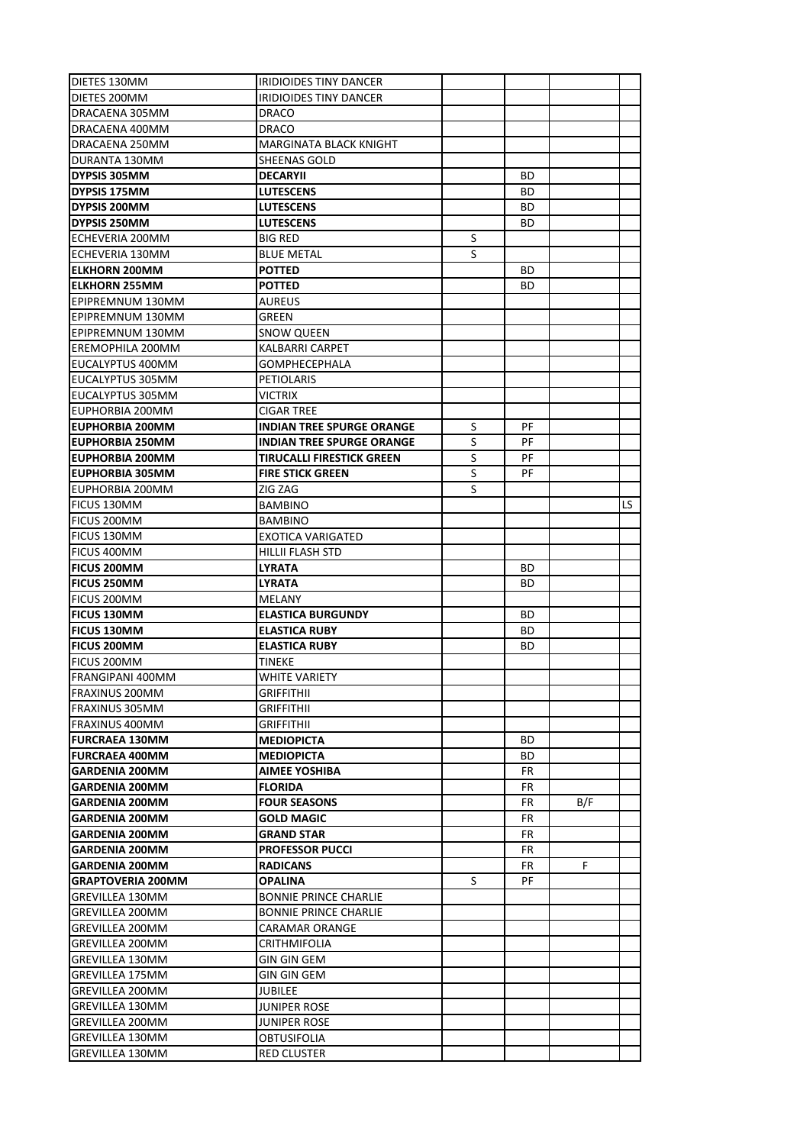| DIETES 130MM                       | IRIDIOIDES TINY DANCER           |   |     |     |     |
|------------------------------------|----------------------------------|---|-----|-----|-----|
| DIETES 200MM                       | IRIDIOIDES TINY DANCER           |   |     |     |     |
| DRACAENA 305MM                     | <b>DRACO</b>                     |   |     |     |     |
| DRACAENA 400MM                     | <b>DRACO</b>                     |   |     |     |     |
| DRACAENA 250MM                     | MARGINATA BLACK KNIGHT           |   |     |     |     |
| DURANTA 130MM                      | <b>SHEENAS GOLD</b>              |   |     |     |     |
| DYPSIS 305MM                       | <b>DECARYII</b>                  |   | BD  |     |     |
| DYPSIS 175MM                       | <b>LUTESCENS</b>                 |   | BD  |     |     |
| <b>DYPSIS 200MM</b>                | <b>LUTESCENS</b>                 |   | ВD  |     |     |
| <b>DYPSIS 250MM</b>                | <b>LUTESCENS</b>                 |   | BD  |     |     |
| ECHEVERIA 200MM                    | <b>BIG RED</b>                   | S |     |     |     |
| ECHEVERIA 130MM                    | <b>BLUE METAL</b>                | S |     |     |     |
| <b>IELKHORN 200MM</b>              | <b>POTTED</b>                    |   | BD  |     |     |
| <b>ELKHORN 255MM</b>               | <b>POTTED</b>                    |   | BD  |     |     |
| EPIPREMNUM 130MM                   | AUREUS                           |   |     |     |     |
| EPIPREMNUM 130MM                   | GREEN                            |   |     |     |     |
| EPIPREMNUM 130MM                   | <b>SNOW QUEEN</b>                |   |     |     |     |
| EREMOPHILA 200MM                   | KALBARRI CARPET                  |   |     |     |     |
| EUCALYPTUS 400MM                   | <b>GOMPHECEPHALA</b>             |   |     |     |     |
| EUCALYPTUS 305MM                   | PETIOLARIS                       |   |     |     |     |
| EUCALYPTUS 305MM                   | <b>VICTRIX</b>                   |   |     |     |     |
| EUPHORBIA 200MM                    | <b>CIGAR TREE</b>                |   |     |     |     |
| EUPHORBIA 200MM                    | <b>INDIAN TREE SPURGE ORANGE</b> | S | PF  |     |     |
| <b>EUPHORBIA 250MM</b>             | <b>INDIAN TREE SPURGE ORANGE</b> | S | PF  |     |     |
| <b>EUPHORBIA 200MM</b>             | <b>TIRUCALLI FIRESTICK GREEN</b> | S | PF  |     |     |
| <b>EUPHORBIA 305MM</b>             | <b>FIRE STICK GREEN</b>          | S | PF  |     |     |
| EUPHORBIA 200MM                    | ZIG ZAG                          | S |     |     |     |
| <b>FICUS 130MM</b>                 | <b>BAMBINO</b>                   |   |     |     | LS. |
| FICUS 200MM                        | <b>BAMBINO</b>                   |   |     |     |     |
| FICUS 130MM                        | EXOTICA VARIGATED                |   |     |     |     |
| FICUS 400MM                        | HILLII FLASH STD                 |   |     |     |     |
| <b>FICUS 200MM</b>                 | <b>LYRATA</b>                    |   | BD  |     |     |
| <b>FICUS 250MM</b>                 | <b>LYRATA</b>                    |   | BD  |     |     |
| FICUS 200MM                        | MELANY                           |   |     |     |     |
| <b>FICUS 130MM</b>                 | <b>ELASTICA BURGUNDY</b>         |   | ВD  |     |     |
| <b>FICUS 130MM</b>                 | <b>ELASTICA RUBY</b>             |   | ВD  |     |     |
| <b>FICUS 200MM</b>                 | <b>ELASTICA RUBY</b>             |   | ВD  |     |     |
| FICUS 200MM                        | TINEKE                           |   |     |     |     |
| <b>FRANGIPANI 400MM</b>            | <b>WHITE VARIETY</b>             |   |     |     |     |
| <b>FRAXINUS 200MM</b>              | <b>GRIFFITHII</b>                |   |     |     |     |
| FRAXINUS 305MM                     | <b>GRIFFITHII</b>                |   |     |     |     |
| FRAXINUS 400MM                     | <b>GRIFFITHII</b>                |   |     |     |     |
| <b>FURCRAEA 130MM</b>              | <b>MEDIOPICTA</b>                |   | BD. |     |     |
| <b>FURCRAEA 400MM</b>              | <b>MEDIOPICTA</b>                |   | BD. |     |     |
| <b>GARDENIA 200MM</b>              | <b>AIMEE YOSHIBA</b>             |   | FR  |     |     |
| <b>GARDENIA 200MM</b>              | <b>FLORIDA</b>                   |   | FR  |     |     |
| <b>GARDENIA 200MM</b>              | <b>FOUR SEASONS</b>              |   | FR  | B/F |     |
| <b>GARDENIA 200MM</b>              | <b>GOLD MAGIC</b>                |   | FR  |     |     |
| <b>GARDENIA 200MM</b>              |                                  |   |     |     |     |
| <b>GARDENIA 200MM</b>              |                                  |   |     |     |     |
| <b>GARDENIA 200MM</b>              | <b>GRAND STAR</b>                |   | FR  |     |     |
|                                    | <b>PROFESSOR PUCCI</b>           |   | FR  |     |     |
|                                    | <b>RADICANS</b>                  |   | FR  | F.  |     |
| <b>GRAPTOVERIA 200MM</b>           | <b>OPALINA</b>                   | S | PF  |     |     |
| GREVILLEA 130MM                    | <b>BONNIE PRINCE CHARLIE</b>     |   |     |     |     |
| <b>GREVILLEA 200MM</b>             | <b>BONNIE PRINCE CHARLIE</b>     |   |     |     |     |
| <b>GREVILLEA 200MM</b>             | CARAMAR ORANGE                   |   |     |     |     |
| GREVILLEA 200MM                    | <b>CRITHMIFOLIA</b>              |   |     |     |     |
| <b>GREVILLEA 130MM</b>             | <b>GIN GIN GEM</b>               |   |     |     |     |
| <b>GREVILLEA 175MM</b>             | <b>GIN GIN GEM</b>               |   |     |     |     |
| GREVILLEA 200MM                    | JUBILEE                          |   |     |     |     |
| <b>GREVILLEA 130MM</b>             | <b>JUNIPER ROSE</b>              |   |     |     |     |
| <b>GREVILLEA 200MM</b>             | JUNIPER ROSE                     |   |     |     |     |
| GREVILLEA 130MM<br>GREVILLEA 130MM | OBTUSIFOLIA<br>RED CLUSTER       |   |     |     |     |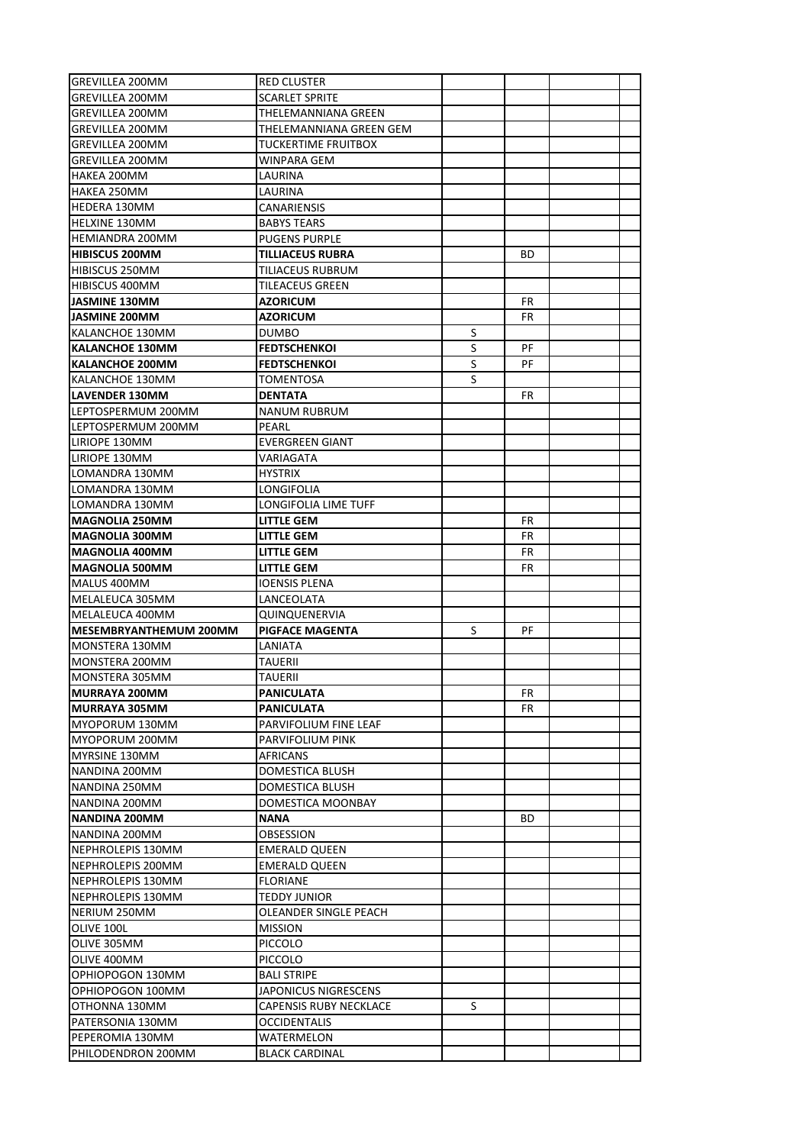| <b>GREVILLEA 200MM</b>                  | RED CLUSTER                |   |     |  |
|-----------------------------------------|----------------------------|---|-----|--|
| <b>GREVILLEA 200MM</b>                  | <b>SCARLET SPRITE</b>      |   |     |  |
| <b>GREVILLEA 200MM</b>                  | THELEMANNIANA GREEN        |   |     |  |
| <b>GREVILLEA 200MM</b>                  | THELEMANNIANA GREEN GEM    |   |     |  |
| <b>GREVILLEA 200MM</b>                  | <b>TUCKERTIME FRUITBOX</b> |   |     |  |
| <b>GREVILLEA 200MM</b>                  | WINPARA GEM                |   |     |  |
| HAKEA 200MM                             | LAURINA                    |   |     |  |
| HAKEA 250MM                             | LAURINA                    |   |     |  |
| <b>HEDERA 130MM</b>                     | CANARIENSIS                |   |     |  |
| HELXINE 130MM                           | <b>BABYS TEARS</b>         |   |     |  |
| HEMIANDRA 200MM                         | <b>PUGENS PURPLE</b>       |   |     |  |
| <b>HIBISCUS 200MM</b>                   | TILLIACEUS RUBRA           |   | ВD  |  |
| HIBISCUS 250MM                          | TILIACEUS RUBRUM           |   |     |  |
| HIBISCUS 400MM                          | TILEACEUS GREEN            |   |     |  |
| <b>JASMINE 130MM</b>                    | <b>AZORICUM</b>            |   | FR  |  |
| <b>JASMINE 200MM</b>                    | <b>AZORICUM</b>            |   | FR  |  |
| KALANCHOE 130MM                         | <b>DUMBO</b>               | S |     |  |
| <b>KALANCHOE 130MM</b>                  | <b>FEDTSCHENKOI</b>        | S | РF  |  |
| <b>KALANCHOE 200MM</b>                  | <b>FEDTSCHENKOI</b>        | S | РF  |  |
| KALANCHOE 130MM                         | TOMENTOSA                  | S |     |  |
| <b>LAVENDER 130MM</b>                   | <b>DENTATA</b>             |   | FR  |  |
| LEPTOSPERMUM 200MM                      | NANUM RUBRUM               |   |     |  |
| LEPTOSPERMUM 200MM                      | PEARL                      |   |     |  |
| LIRIOPE 130MM                           | <b>EVERGREEN GIANT</b>     |   |     |  |
| LIRIOPE 130MM                           | VARIAGATA                  |   |     |  |
| LOMANDRA 130MM                          | <b>HYSTRIX</b>             |   |     |  |
| LOMANDRA 130MM                          | LONGIFOLIA                 |   |     |  |
|                                         |                            |   |     |  |
| LOMANDRA 130MM<br><b>MAGNOLIA 250MM</b> | LONGIFOLIA LIME TUFF       |   | FR  |  |
|                                         | LITTLE GEM                 |   |     |  |
| <b>MAGNOLIA 300MM</b>                   | LITTLE GEM                 |   | FR  |  |
| <b>MAGNOLIA 400MM</b>                   | LITTLE GEM                 |   | FR  |  |
| <b>MAGNOLIA 500MM</b>                   | LITTLE GEM                 |   | FR  |  |
| MALUS 400MM                             | <b>IOENSIS PLENA</b>       |   |     |  |
| MELALEUCA 305MM                         | LANCEOLATA                 |   |     |  |
| MELALEUCA 400MM                         | QUINQUENERVIA              |   |     |  |
| MESEMBRYANTHEMUM 200MM                  | <b>PIGFACE MAGENTA</b>     | S | РF  |  |
| MONSTERA 130MM                          | LANIATA                    |   |     |  |
| MONSTERA 200MM                          | TAUERII                    |   |     |  |
| MONSTERA 305MM                          | TAUERII                    |   |     |  |
| <b>MURRAYA 200MM</b>                    | <b>PANICULATA</b>          |   | FR  |  |
| MURRAYA 305MM                           | PANICULATA                 |   | FR  |  |
| MYOPORUM 130MM                          | PARVIFOLIUM FINE LEAF      |   |     |  |
| MYOPORUM 200MM                          | PARVIFOLIUM PINK           |   |     |  |
| MYRSINE 130MM                           | AFRICANS                   |   |     |  |
| NANDINA 200MM                           | DOMESTICA BLUSH            |   |     |  |
| NANDINA 250MM                           | DOMESTICA BLUSH            |   |     |  |
| NANDINA 200MM                           | DOMESTICA MOONBAY          |   |     |  |
| NANDINA 200MM                           | <b>NANA</b>                |   | BD. |  |
| NANDINA 200MM                           | OBSESSION                  |   |     |  |
| NEPHROLEPIS 130MM                       | <b>EMERALD QUEEN</b>       |   |     |  |
| NEPHROLEPIS 200MM                       | <b>EMERALD QUEEN</b>       |   |     |  |
| NEPHROLEPIS 130MM                       | <b>FLORIANE</b>            |   |     |  |
| NEPHROLEPIS 130MM                       | TEDDY JUNIOR               |   |     |  |
| NERIUM 250MM                            | OLEANDER SINGLE PEACH      |   |     |  |
| OLIVE 100L                              | <b>MISSION</b>             |   |     |  |
| OLIVE 305MM                             | <b>PICCOLO</b>             |   |     |  |
| OLIVE 400MM                             | <b>PICCOLO</b>             |   |     |  |
| OPHIOPOGON 130MM                        | <b>BALI STRIPE</b>         |   |     |  |
| OPHIOPOGON 100MM                        | JAPONICUS NIGRESCENS       |   |     |  |
| OTHONNA 130MM                           | CAPENSIS RUBY NECKLACE     | S |     |  |
| PATERSONIA 130MM                        | <b>OCCIDENTALIS</b>        |   |     |  |
| PEPEROMIA 130MM                         | WATERMELON                 |   |     |  |
| PHILODENDRON 200MM                      | <b>BLACK CARDINAL</b>      |   |     |  |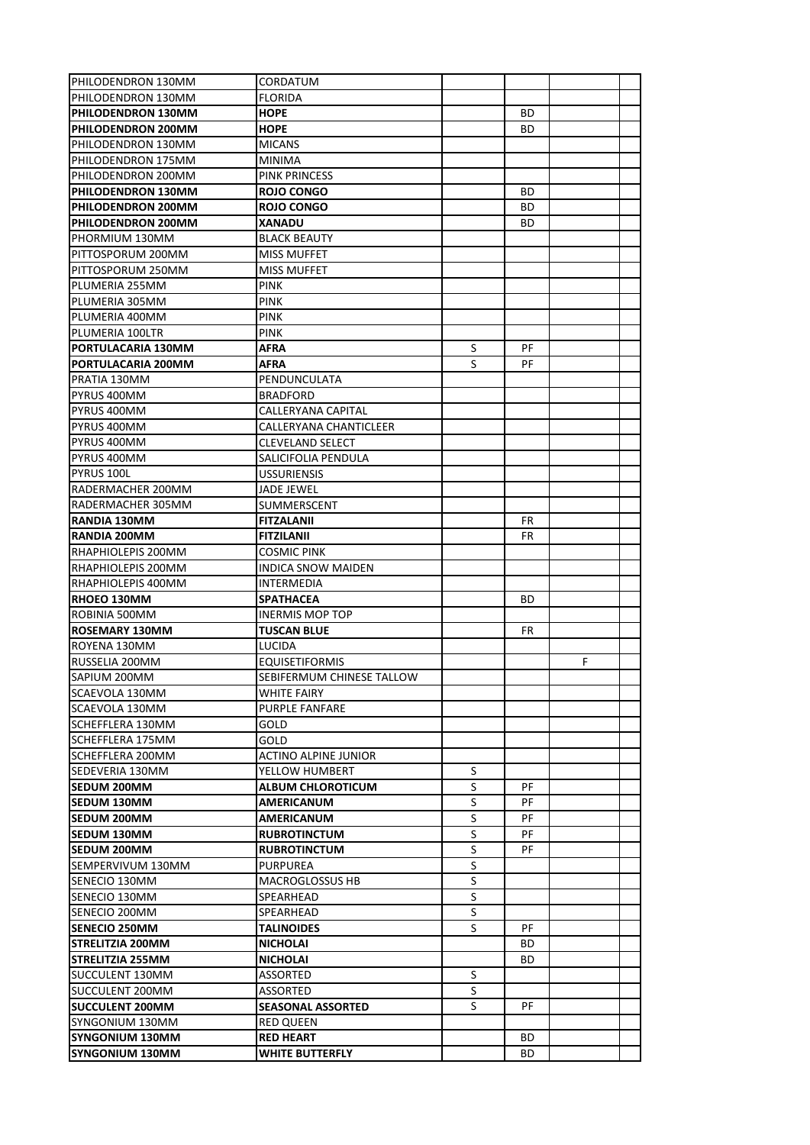| PHILODENDRON 130MM        | CORDATUM                  |   |     |   |  |
|---------------------------|---------------------------|---|-----|---|--|
| PHILODENDRON 130MM        | <b>FLORIDA</b>            |   |     |   |  |
| <b>PHILODENDRON 130MM</b> | HOPE                      |   | BD  |   |  |
| PHILODENDRON 200MM        | <b>HOPE</b>               |   | BD  |   |  |
| PHILODENDRON 130MM        | <b>MICANS</b>             |   |     |   |  |
| PHILODENDRON 175MM        | <b>MINIMA</b>             |   |     |   |  |
| PHILODENDRON 200MM        | PINK PRINCESS             |   |     |   |  |
| PHILODENDRON 130MM        | <b>ROJO CONGO</b>         |   | ВD  |   |  |
| <b>PHILODENDRON 200MM</b> | <b>ROJO CONGO</b>         |   | BD  |   |  |
| PHILODENDRON 200MM        | XANADU                    |   | BD  |   |  |
| PHORMIUM 130MM            | <b>BLACK BEAUTY</b>       |   |     |   |  |
| PITTOSPORUM 200MM         | MISS MUFFET               |   |     |   |  |
| PITTOSPORUM 250MM         | <b>MISS MUFFET</b>        |   |     |   |  |
| PLUMERIA 255MM            | <b>PINK</b>               |   |     |   |  |
| PLUMERIA 305MM            | <b>PINK</b>               |   |     |   |  |
| PLUMERIA 400MM            | <b>PINK</b>               |   |     |   |  |
| PLUMERIA 100LTR           | <b>PINK</b>               |   |     |   |  |
| PORTULACARIA 130MM        | AFRA                      | S | PF  |   |  |
| PORTULACARIA 200MM        | AFRA                      | S | РF  |   |  |
| PRATIA 130MM              | PENDUNCULATA              |   |     |   |  |
| PYRUS 400MM               | <b>BRADFORD</b>           |   |     |   |  |
| PYRUS 400MM               | CALLERYANA CAPITAL        |   |     |   |  |
| PYRUS 400MM               | CALLERYANA CHANTICLEER    |   |     |   |  |
| PYRUS 400MM               | CLEVELAND SELECT          |   |     |   |  |
| PYRUS 400MM               | SALICIFOLIA PENDULA       |   |     |   |  |
| PYRUS 100L                | <b>USSURIENSIS</b>        |   |     |   |  |
| RADERMACHER 200MM         | JADE JEWEL                |   |     |   |  |
| RADERMACHER 305MM         | SUMMERSCENT               |   |     |   |  |
| RANDIA 130MM              | <b>FITZALANII</b>         |   | FR  |   |  |
| <b>RANDIA 200MM</b>       | <b>FITZILANII</b>         |   | FR  |   |  |
| <b>RHAPHIOLEPIS 200MM</b> | COSMIC PINK               |   |     |   |  |
| <b>RHAPHIOLEPIS 200MM</b> | <b>INDICA SNOW MAIDEN</b> |   |     |   |  |
| RHAPHIOLEPIS 400MM        | INTERMEDIA                |   |     |   |  |
| <b>RHOEO 130MM</b>        | SPATHACEA                 |   | BD  |   |  |
| ROBINIA 500MM             | <b>INERMIS MOP TOP</b>    |   |     |   |  |
| <b>ROSEMARY 130MM</b>     | TUSCAN BLUE               |   | FR  |   |  |
| ROYENA 130MM              | LUCIDA                    |   |     |   |  |
| RUSSELIA 200MM            | <b>EQUISETIFORMIS</b>     |   |     | F |  |
| SAPIUM 200MM              | SEBIFERMUM CHINESE TALLOW |   |     |   |  |
| SCAEVOLA 130MM            | WHITE FAIRY               |   |     |   |  |
| SCAEVOLA 130MM            | <b>PURPLE FANFARE</b>     |   |     |   |  |
| SCHEFFLERA 130MM          | GOLD                      |   |     |   |  |
| SCHEFFLERA 175MM          | GOLD                      |   |     |   |  |
| <b>SCHEFFLERA 200MM</b>   | ACTINO ALPINE JUNIOR      |   |     |   |  |
| SEDEVERIA 130MM           | YELLOW HUMBERT            | S |     |   |  |
| <b>SEDUM 200MM</b>        | <b>ALBUM CHLOROTICUM</b>  | S | РF  |   |  |
| <b>SEDUM 130MM</b>        | <b>AMERICANUM</b>         | S | PF  |   |  |
| <b>SEDUM 200MM</b>        | AMERICANUM                | S | PF  |   |  |
| SEDUM 130MM               | <b>RUBROTINCTUM</b>       | S | PF  |   |  |
| <b>SEDUM 200MM</b>        | <b>RUBROTINCTUM</b>       | S | PF  |   |  |
| SEMPERVIVUM 130MM         | PURPUREA                  | S |     |   |  |
| SENECIO 130MM             | <b>MACROGLOSSUS HB</b>    | S |     |   |  |
| SENECIO 130MM             | SPEARHEAD                 | S |     |   |  |
| SENECIO 200MM             | SPEARHEAD                 | S |     |   |  |
| <b>SENECIO 250MM</b>      | <b>TALINOIDES</b>         | S | PF  |   |  |
| STRELITZIA 200MM          | <b>NICHOLAI</b>           |   | BD. |   |  |
| <b>STRELITZIA 255MM</b>   | <b>NICHOLAI</b>           |   | BD  |   |  |
| <b>SUCCULENT 130MM</b>    | <b>ASSORTED</b>           | S |     |   |  |
|                           |                           | S |     |   |  |
| SUCCULENT 200MM           | ASSORTED                  | S | PF  |   |  |
| <b>SUCCULENT 200MM</b>    | <b>SEASONAL ASSORTED</b>  |   |     |   |  |
| SYNGONIUM 130MM           | RED QUEEN                 |   |     |   |  |
| SYNGONIUM 130MM           | <b>RED HEART</b>          |   | BD  |   |  |
| <b>SYNGONIUM 130MM</b>    | <b>WHITE BUTTERFLY</b>    |   | BD. |   |  |